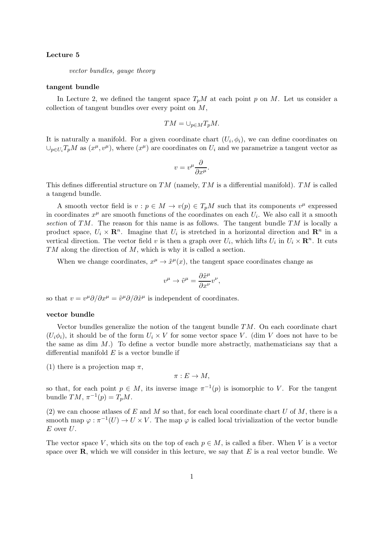# Lecture 5

vector bundles, gauge theory

#### tangent bundle

In Lecture 2, we defined the tangent space  $T_pM$  at each point p on M. Let us consider a collection of tangent bundles over every point on M,

$$
TM = \cup_{p \in M} T_p M.
$$

It is naturally a manifold. For a given coordinate chart  $(U_i, \phi_i)$ , we can define coordinates on  $\cup_{p\in U_i}T_pM$  as  $(x^{\mu},v^{\mu})$ , where  $(x^{\mu})$  are coordinates on  $U_i$  and we parametrize a tangent vector as

$$
v = v^{\mu} \frac{\partial}{\partial x^{\mu}}.
$$

This defines differential structure on  $TM$  (namely,  $TM$  is a differential manifold).  $TM$  is called a tangend bundle.

A smooth vector field is  $v : p \in M \to v(p) \in T_pM$  such that its components  $v^{\mu}$  expressed in coordinates  $x^{\mu}$  are smooth functions of the coordinates on each  $U_i$ . We also call it a smooth section of TM. The reason for this name is as follows. The tangent bundle  $TM$  is locally a product space,  $U_i \times \mathbf{R}^n$ . Imagine that  $U_i$  is stretched in a horizontal direction and  $\mathbf{R}^n$  in a vertical direction. The vector field v is then a graph over  $U_i$ , which lifts  $U_i$  in  $U_i \times \mathbb{R}^n$ . It cuts TM along the direction of M, which is why it is called a section.

When we change coordinates,  $x^{\mu} \to \tilde{x}^{\mu}(x)$ , the tangent space coordinates change as

$$
v^{\mu} \rightarrow \tilde{v}^{\mu} = \frac{\partial \tilde{x}^{\mu}}{\partial x^{\nu}} v^{\nu},
$$

so that  $v = v^{\mu} \partial / \partial x^{\mu} = \tilde{v}^{\mu} \partial / \partial \tilde{x}^{\mu}$  is independent of coordinates.

#### vector bundle

Vector bundles generalize the notion of the tangent bundle  $TM$ . On each coordinate chart  $(U_i\phi_i)$ , it should be of the form  $U_i \times V$  for some vector space V. (dim V does not have to be the same as dim  $M$ .) To define a vector bundle more abstractly, mathematicians say that a differential manifold  $E$  is a vector bundle if

(1) there is a projection map  $\pi$ ,

 $\pi: E \to M$ ,

so that, for each point  $p \in M$ , its inverse image  $\pi^{-1}(p)$  is isomorphic to V. For the tangent bundle  $TM, \pi^{-1}(p) = T_pM$ .

(2) we can choose at asses of E and M so that, for each local coordinate chart U of M, there is a smooth map  $\varphi : \pi^{-1}(U) \to U \times V$ . The map  $\varphi$  is called local trivialization of the vector bundle  $E$  over  $U$ .

The vector space V, which sits on the top of each  $p \in M$ , is called a fiber. When V is a vector space over  $\bf{R}$ , which we will consider in this lecture, we say that E is a real vector bundle. We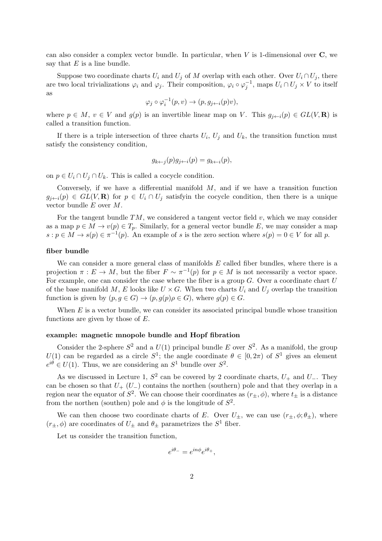can also consider a complex vector bundle. In particular, when  $V$  is 1-dimensional over  $C$ , we say that  $E$  is a line bundle.

Suppose two coordinate charts  $U_i$  and  $U_j$  of M overlap with each other. Over  $U_i \cap U_j$ , there are two local trivializations  $\varphi_i$  and  $\varphi_j$ . Their composition,  $\varphi_i \circ \varphi_j^{-1}$ , maps  $U_i \cap U_j \times V$  to itself as

$$
\varphi_j\circ \varphi_i^{-1}(p,v)\to (p,g_{j\leftarrow i}(p)v),
$$

where  $p \in M$ ,  $v \in V$  and  $g(p)$  is an invertible linear map on V. This  $g_{i \leftarrow i}(p) \in GL(V, \mathbf{R})$  is called a transition function.

If there is a triple intersection of three charts  $U_i$ ,  $U_j$  and  $U_k$ , the transition function must satisfy the consistency condition,

$$
g_{k \leftarrow j}(p)g_{j \leftarrow i}(p) = g_{k \leftarrow i}(p),
$$

on  $p \in U_i \cap U_j \cap U_k$ . This is called a cocycle condition.

Conversely, if we have a differential manifold  $M$ , and if we have a transition function  $g_{i\leftarrow i}(p) \in GL(V, \mathbf{R})$  for  $p \in U_i \cap U_j$  satisfyin the cocycle condition, then there is a unique vector bundle E over M.

For the tangent bundle  $TM$ , we considered a tangent vector field v, which we may consider as a map  $p \in M \to v(p) \in T_p$ . Similarly, for a general vector bundle E, we may consider a map  $s: p \in M \to s(p) \in \pi^{-1}(p)$ . An example of s is the zero section where  $s(p) = 0 \in V$  for all p.

## fiber bundle

We can consider a more general class of manifolds  $E$  called fiber bundles, where there is a projection  $\pi : E \to M$ , but the fiber  $F \sim \pi^{-1}(p)$  for  $p \in M$  is not necessarily a vector space. For example, one can consider the case where the fiber is a group  $G$ . Over a coordinate chart  $U$ of the base manifold M, E looks like  $U \times G$ . When two charts  $U_i$  and  $U_j$  overlap the transition function is given by  $(p, g \in G) \to (p, g(p)\rho \in G)$ , where  $g(p) \in G$ .

When  $E$  is a vector bundle, we can consider its associated principal bundle whose transition functions are given by those of  $E$ .

#### example: magnetic mnopole bundle and Hopf fibration

Consider the 2-sphere  $S^2$  and a  $U(1)$  principal bundle E over  $S^2$ . As a manifold, the group  $U(1)$  can be regarded as a circle  $S^1$ ; the angle coordinate  $\theta \in [0, 2\pi)$  of  $S^1$  gives an element  $e^{i\theta} \in U(1)$ . Thus, we are considering an  $S^1$  bundle over  $S^2$ .

As we discussed in Lecture 1,  $S^2$  can be covered by 2 coordinate charts,  $U_+$  and  $U_-$ . They can be chosen so that  $U_{+}$  ( $U_{-}$ ) contains the northen (southern) pole and that they overlap in a region near the equator of  $S^2$ . We can choose their coordinates as  $(r_{\pm}, \phi)$ , where  $t_{\pm}$  is a distance from the northen (southen) pole and  $\phi$  is the longitude of  $S^2$ .

We can then choose two coordinate charts of E. Over  $U_{\pm}$ , we can use  $(r_{\pm}, \phi; \theta_{\pm})$ , where  $(r_{\pm}, \phi)$  are coordinates of  $U_{\pm}$  and  $\theta_{\pm}$  parametrizes the  $S^1$  fiber.

Let us consider the transition function,

$$
e^{i\theta_-} = e^{in\phi}e^{i\theta_+},
$$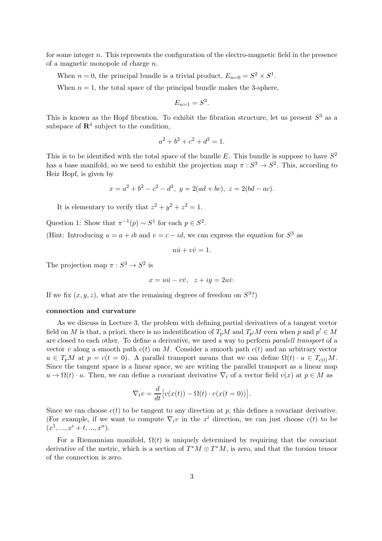for some integer n. This represents the configuration of the electro-magnetic field in the presence of a magnetic monopole of charge  $n$ .

When  $n = 0$ , the principal bundle is a trivial product,  $E_{n=0} = S^2 \times S^1$ .

When  $n = 1$ , the total space of the principal bundle makes the 3-sphere,

$$
E_{n=1} = S^3.
$$

This is known as the Hopf fibration. To exhibit the fibration structure, let us present  $S^3$  as a subspace of  $\mathbb{R}^4$  subject to the condition,

$$
a^2 + b^2 + c^2 + d^2 = 1.
$$

This is to be identified with the total space of the bundle E. This bundle is suppose to have  $S^2$ has a base manifold, so we need to exhibit the projection map  $\pi : S^3 \to S^2$ . This, according to Heiz Hopf, is given by

$$
x = a2 + b2 - c2 - d2, y = 2(ad + bc), z = 2(bd - ac).
$$

It is elementary to verify that  $z^2 + y^2 + z^2 = 1$ .

Question 1: Show that  $\pi^{-1}(p) \sim S^1$  for each  $p \in S^2$ .

(Hint: Introducing  $u = a + ib$  and  $v = c - id$ , we can express the equation for  $S^3$  as

$$
u\bar{u} + v\bar{v} = 1.
$$

The projection map  $\pi : S^3 \to S^2$  is

$$
x = u\bar{u} - v\bar{v}, \quad z + iy = 2u\bar{v}.
$$

If we fix  $(x, y, z)$ , what are the remaining degrees of freedom on  $S^3$ ?)

#### connection and curvature

As we discuss in Lecture 3, the problem with defining partial derivatives of a tangent vector field on M is that, a priori, there is no indentification of  $T_pM$  and  $T_{p'}M$  even when p and  $p' \in M$ are closed to each other. To define a derivative, we need a way to perform paralell transport of a vector v along a smooth path  $c(t)$  on M. Consider a smooth path  $c(t)$  and an arbitrary vector  $u \in T_pM$  at  $p = c(t = 0)$ . A parallel transport means that we can define  $\Omega(t) \cdot u \in T_{c(t)}M$ . Since the tangent space is a linear space, we are writing the parallel transport as a linear map  $u \to \Omega(t) \cdot u$ . Then, we can define a covariant derivative  $\nabla_t$  of a vector field  $v(x)$  at  $p \in M$  as

$$
\nabla_t v = \frac{d}{dt} \big[ v(x(t)) - \Omega(t) \cdot v(x(t=0)) \big].
$$

Since we can choose  $c(t)$  to be tangent to any direction at p, this defines a covariant derivative. (For example, if we want to compute  $\nabla_i v$  in the  $x^i$  direction, we can just choose  $c(t)$  to be  $(x^1, ..., x^i + t, ..., x^n).$ 

For a Riemannian manifold,  $\Omega(t)$  is uniquely determined by requiring that the covariant derivative of the metric, which is a section of  $T^*M \otimes T^*M$ , is zero, and that the torsion tensor of the connection is zero.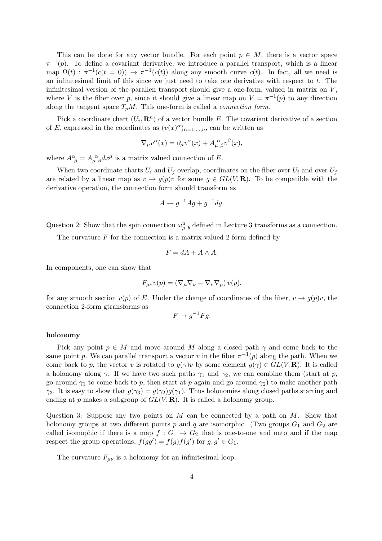This can be done for any vector bundle. For each point  $p \in M$ , there is a vector space  $\pi^{-1}(p)$ . To define a covariant derivative, we introduce a parallel transport, which is a linear map  $\Omega(t)$ :  $\pi^{-1}(c(t=0)) \to \pi^{-1}(c(t))$  along any smooth curve  $c(t)$ . In fact, all we need is an infinitesimal limit of this since we just need to take one derivative with respect to  $t$ . The infinitesimal version of the parallen transport should give a one-form, valued in matrix on  $V$ , where V is the fiber over p, since it should give a linear map on  $V = \pi^{-1}(p)$  to any direction along the tangent space  $T_pM$ . This one-form is called a *connection form*.

Pick a coordinate chart  $(U_i, \mathbf{R}^n)$  of a vector bundle E. The covariant derivative of a section of E, expressed in the coordinates as  $(v(x)^\alpha)_{\alpha=1,\dots,n}$ , can be written as

$$
\nabla_{\mu}v^{\alpha}(x) = \partial_{\mu}v^{\alpha}(x) + A_{\mu \beta}^{\alpha}v^{\beta}(x),
$$

where  $A^{\alpha}_{\ \beta} = A^{\ \alpha}_{\mu \ \beta} dx^{\mu}$  is a matrix valued connection of E.

When two coordinate charts  $U_i$  and  $U_j$  overlap, coordinates on the fiber over  $U_i$  and over  $U_j$ are related by a linear map as  $v \to g(p)v$  for some  $g \in GL(V, \mathbf{R})$ . To be compatible with the derivative operation, the connection form should transform as

$$
A \to g^{-1}Ag + g^{-1}dg.
$$

Question 2: Show that the spin connection  $\omega_{\mu}^a{}_b$  defined in Lecture 3 transforms as a connection.

The curvature  $F$  for the connection is a matrix-valued 2-form defined by

$$
F = dA + A \wedge A.
$$

In components, one can show that

$$
F_{\mu\nu}v(p) = (\nabla_{\mu}\nabla_{\nu} - \nabla_{\nu}\nabla_{\mu})v(p),
$$

for any smooth section  $v(p)$  of E. Under the change of coordinates of the fiber,  $v \to g(p)v$ , the connection 2-form gtransforms as

$$
F \to g^{-1} F g.
$$

### holonomy

Pick any point  $p \in M$  and move around M along a closed path  $\gamma$  and come back to the same point p. We can parallel transport a vector v in the fiber  $\pi^{-1}(p)$  along the path. When we come back to p, the vector v is rotated to  $g(\gamma)v$  by some element  $g(\gamma) \in GL(V, \mathbf{R})$ . It is called a holonomy along  $\gamma$ . If we have two such paths  $\gamma_1$  and  $\gamma_2$ , we can combine them (start at p, go around  $\gamma_1$  to come back to p, then start at p again and go around  $\gamma_2$ ) to make another path  $\gamma_3$ . It is easy to show that  $q(\gamma_3) = q(\gamma_2)q(\gamma_1)$ . Thus holonomies along closed paths starting and ending at p makes a subgroup of  $GL(V, \mathbf{R})$ . It is called a holonomy group.

Question 3: Suppose any two points on  $M$  can be connected by a path on  $M$ . Show that holonomy groups at two different points p and q are isomorphic. (Two groups  $G_1$  and  $G_2$  are called isomophic if there is a map  $f: G_1 \to G_2$  that is one-to-one and onto and if the map respect the group operations,  $f(gg') = f(g)f(g')$  for  $g, g' \in G_1$ .

The curvature  $F_{\mu\nu}$  is a holonomy for an infinitesimal loop.